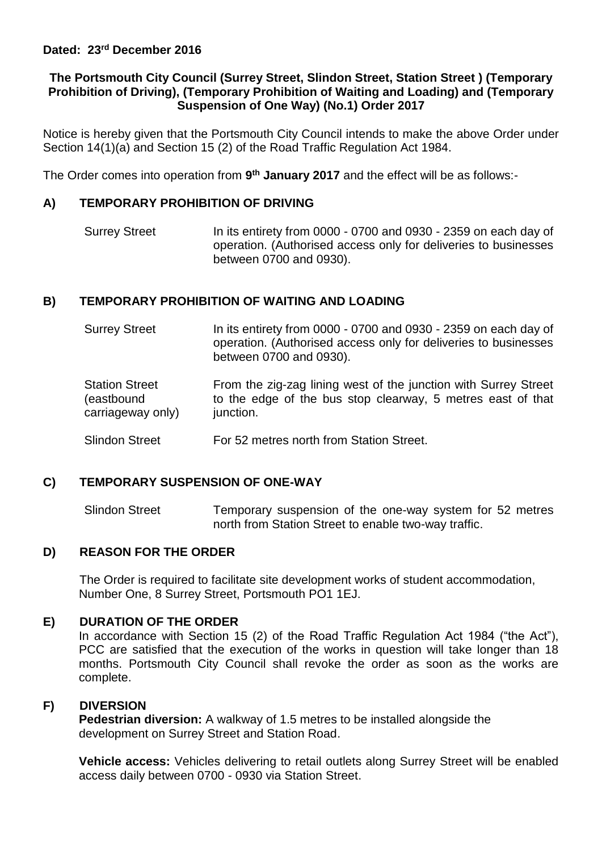# **The Portsmouth City Council (Surrey Street, Slindon Street, Station Street ) (Temporary Prohibition of Driving), (Temporary Prohibition of Waiting and Loading) and (Temporary Suspension of One Way) (No.1) Order 2017**

Notice is hereby given that the Portsmouth City Council intends to make the above Order under Section 14(1)(a) and Section 15 (2) of the Road Traffic Regulation Act 1984.

The Order comes into operation from 9<sup>th</sup> January 2017 and the effect will be as follows:-

# **A) TEMPORARY PROHIBITION OF DRIVING**

Surrey Street In its entirety from 0000 - 0700 and 0930 - 2359 on each day of operation. (Authorised access only for deliveries to businesses between 0700 and 0930).

# **B) TEMPORARY PROHIBITION OF WAITING AND LOADING**

- Surrey Street In its entirety from 0000 - 0700 and 0930 - 2359 on each day of operation. (Authorised access only for deliveries to businesses between 0700 and 0930).
- Station Street (eastbound carriageway only) From the zig-zag lining west of the junction with Surrey Street to the edge of the bus stop clearway, 5 metres east of that junction.
- Slindon Street For 52 metres north from Station Street.

## **C) TEMPORARY SUSPENSION OF ONE-WAY**

Slindon Street Temporary suspension of the one-way system for 52 metres north from Station Street to enable two-way traffic.

## **D) REASON FOR THE ORDER**

The Order is required to facilitate site development works of student accommodation, Number One, 8 Surrey Street, Portsmouth PO1 1EJ.

## **E) DURATION OF THE ORDER**

In accordance with Section 15 (2) of the Road Traffic Regulation Act 1984 ("the Act"), PCC are satisfied that the execution of the works in question will take longer than 18 months. Portsmouth City Council shall revoke the order as soon as the works are complete.

## **F) DIVERSION**

**Pedestrian diversion:** A walkway of 1.5 metres to be installed alongside the development on Surrey Street and Station Road.

**Vehicle access:** Vehicles delivering to retail outlets along Surrey Street will be enabled access daily between 0700 - 0930 via Station Street.